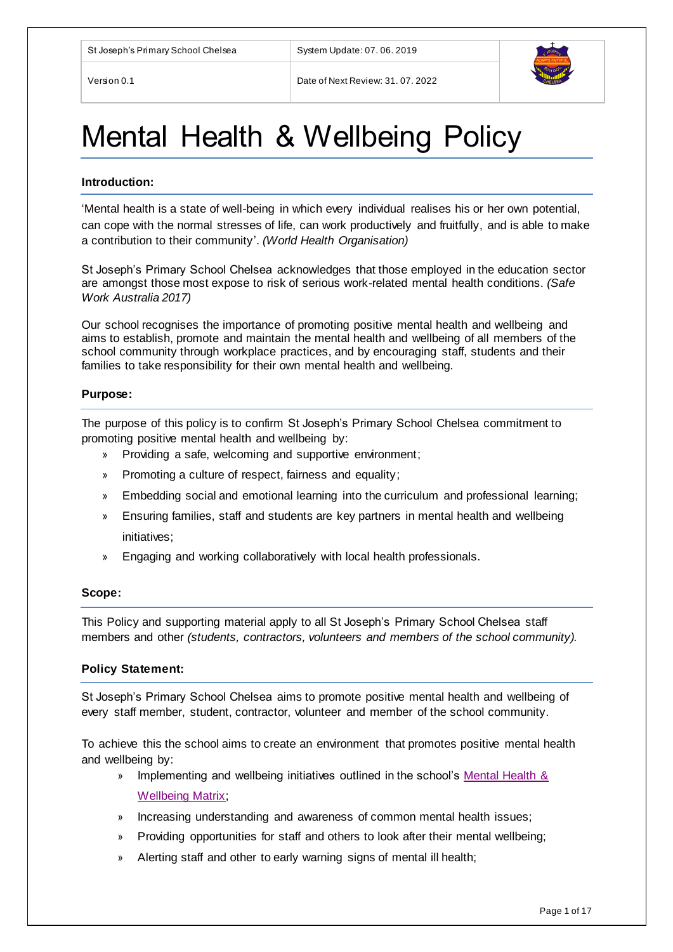

# Mental Health & Wellbeing Policy

#### **Introduction:**

'Mental health is a state of well-being in which every individual realises his or her own potential, can cope with the normal stresses of life, can work productively and fruitfully, and is able to make a contribution to their community'. *(World Health Organisation)*

St Joseph's Primary School Chelsea acknowledges that those employed in the education sector are amongst those most expose to risk of serious work-related mental health conditions. *(Safe Work Australia 2017)*

Our school recognises the importance of promoting positive mental health and wellbeing and aims to establish, promote and maintain the mental health and wellbeing of all members of the school community through workplace practices, and by encouraging staff, students and their families to take responsibility for their own mental health and wellbeing.

#### **Purpose:**

The purpose of this policy is to confirm St Joseph's Primary School Chelsea commitment to promoting positive mental health and wellbeing by:

- Providing a safe, welcoming and supportive environment;
- » Promoting a culture of respect, fairness and equality;
- » Embedding social and emotional learning into the curriculum and professional learning;
- » Ensuring families, staff and students are key partners in mental health and wellbeing initiatives;
- » Engaging and working collaboratively with local health professionals.

#### **Scope:**

This Policy and supporting material apply to all St Joseph's Primary School Chelsea staff members and other *(students, contractors, volunteers and members of the school community).*

#### **Policy Statement:**

St Joseph's Primary School Chelsea aims to promote positive mental health and wellbeing of every staff member, student, contractor, volunteer and member of the school community.

To achieve this the school aims to create an environment that promotes positive mental health and wellbeing by:

- » Implementing and wellbeing initiatives outlined in the school's [Mental Health &](#page-4-0)  [Wellbeing Matrix;](#page-4-0)
- » Increasing understanding and awareness of common mental health issues;
- » Providing opportunities for staff and others to look after their mental wellbeing;
- » Alerting staff and other to early warning signs of mental ill health;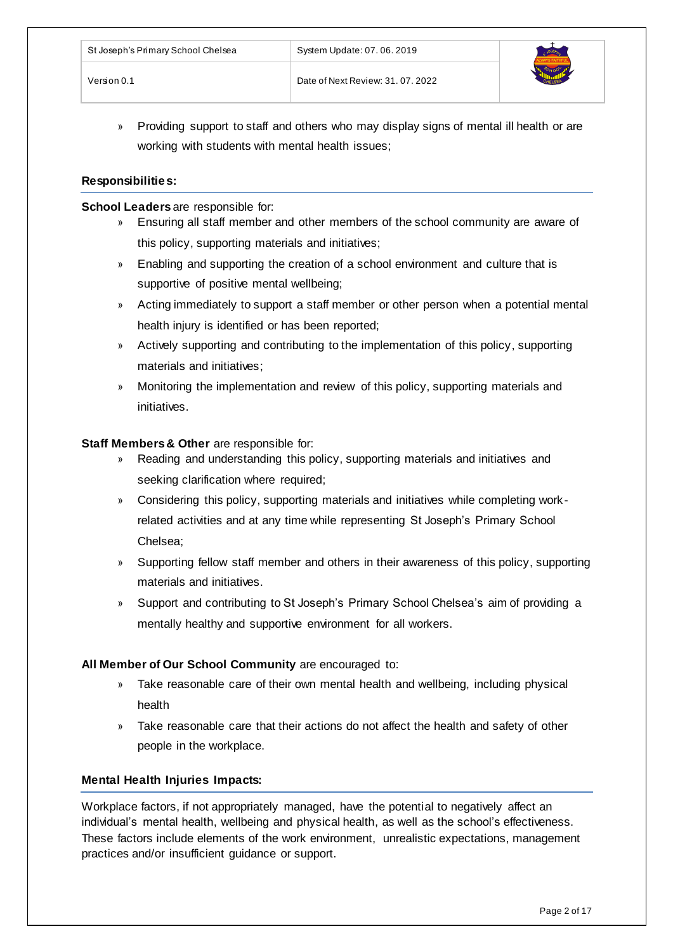

» Providing support to staff and others who may display signs of mental ill health or are working with students with mental health issues;

# **Responsibilities:**

### **School Leaders** are responsible for:

- » Ensuring all staff member and other members of the school community are aware of this policy, supporting materials and initiatives;
- » Enabling and supporting the creation of a school environment and culture that is supportive of positive mental wellbeing;
- » Acting immediately to support a staff member or other person when a potential mental health injury is identified or has been reported;
- » Actively supporting and contributing to the implementation of this policy, supporting materials and initiatives;
- » Monitoring the implementation and review of this policy, supporting materials and initiatives.

## **Staff Members & Other** are responsible for:

- » Reading and understanding this policy, supporting materials and initiatives and seeking clarification where required;
- » Considering this policy, supporting materials and initiatives while completing workrelated activities and at any time while representing St Joseph's Primary School Chelsea;
- » Supporting fellow staff member and others in their awareness of this policy, supporting materials and initiatives.
- » Support and contributing to St Joseph's Primary School Chelsea's aim of providing a mentally healthy and supportive environment for all workers.

# **All Member of Our School Community** are encouraged to:

- » Take reasonable care of their own mental health and wellbeing, including physical health
- » Take reasonable care that their actions do not affect the health and safety of other people in the workplace.

# **Mental Health Injuries Impacts:**

Workplace factors, if not appropriately managed, have the potential to negatively affect an individual's mental health, wellbeing and physical health, as well as the school's effectiveness. These factors include elements of the work environment, unrealistic expectations, management practices and/or insufficient guidance or support.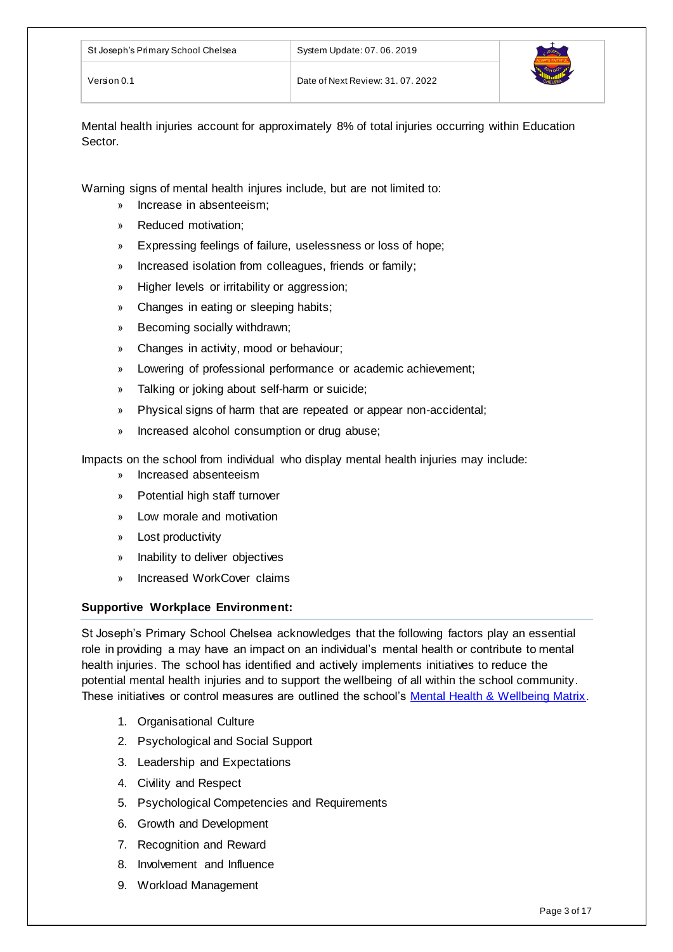Mental health injuries account for approximately 8% of total injuries occurring within Education Sector.

Warning signs of mental health injures include, but are not limited to:

- » Increase in absenteeism;
- » Reduced motivation;
- » Expressing feelings of failure, uselessness or loss of hope;
- » Increased isolation from colleagues, friends or family;
- » Higher levels or irritability or aggression;
- » Changes in eating or sleeping habits;
- » Becoming socially withdrawn;
- » Changes in activity, mood or behaviour;
- » Lowering of professional performance or academic achievement;
- » Talking or joking about self-harm or suicide;
- » Physical signs of harm that are repeated or appear non-accidental;
- » Increased alcohol consumption or drug abuse;

Impacts on the school from individual who display mental health injuries may include:

- » Increased absenteeism
- » Potential high staff turnover
- » Low morale and motivation
- » Lost productivity
- » Inability to deliver objectives
- » Increased WorkCover claims

# **Supportive Workplace Environment:**

St Joseph's Primary School Chelsea acknowledges that the following factors play an essential role in providing a may have an impact on an individual's mental health or contribute to mental health injuries. The school has identified and actively implements initiatives to reduce the potential mental health injuries and to support the wellbeing of all within the school community. These initiatives or control measures are outlined the school's [Mental Health & Wellbeing Matrix.](#page-4-0)

- 1. Organisational Culture
- 2. Psychological and Social Support
- 3. Leadership and Expectations
- 4. Civility and Respect
- 5. Psychological Competencies and Requirements
- 6. Growth and Development
- 7. Recognition and Reward
- 8. Involvement and Influence
- 9. Workload Management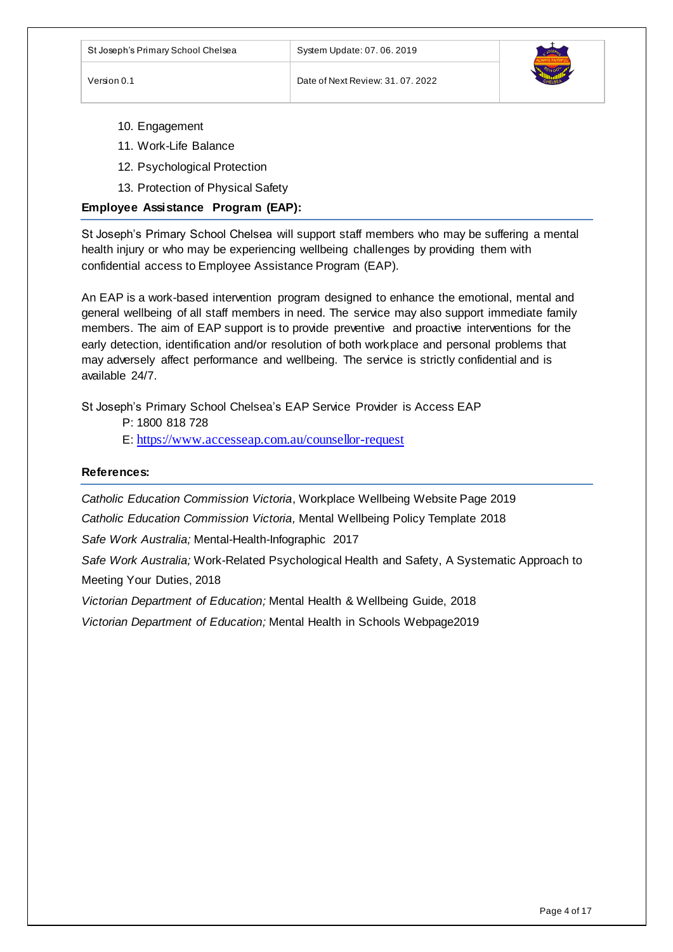

- 10. Engagement
- 11. Work-Life Balance
- 12. Psychological Protection
- 13. Protection of Physical Safety

### **Employee Assistance Program (EAP):**

St Joseph's Primary School Chelsea will support staff members who may be suffering a mental health injury or who may be experiencing wellbeing challenges by providing them with confidential access to Employee Assistance Program (EAP).

An EAP is a work-based intervention program designed to enhance the emotional, mental and general wellbeing of all staff members in need. The service may also support immediate family members. The aim of EAP support is to provide preventive and proactive interventions for the early detection, identification and/or resolution of both workplace and personal problems that may adversely affect performance and wellbeing. The service is strictly confidential and is available 24/7.

St Joseph's Primary School Chelsea's EAP Service Provider is Access EAP

P: 1800 818 728

E: <https://www.accesseap.com.au/counsellor-request>

#### **References:**

*Catholic Education Commission Victoria*, Workplace Wellbeing Website Page 2019

*Catholic Education Commission Victoria,* Mental Wellbeing Policy Template 2018

*Safe Work Australia;* Mental-Health-Infographic 2017

*Safe Work Australia;* Work-Related Psychological Health and Safety, A Systematic Approach to Meeting Your Duties, 2018

*Victorian Department of Education;* Mental Health & Wellbeing Guide, 2018

*Victorian Department of Education;* Mental Health in Schools Webpage2019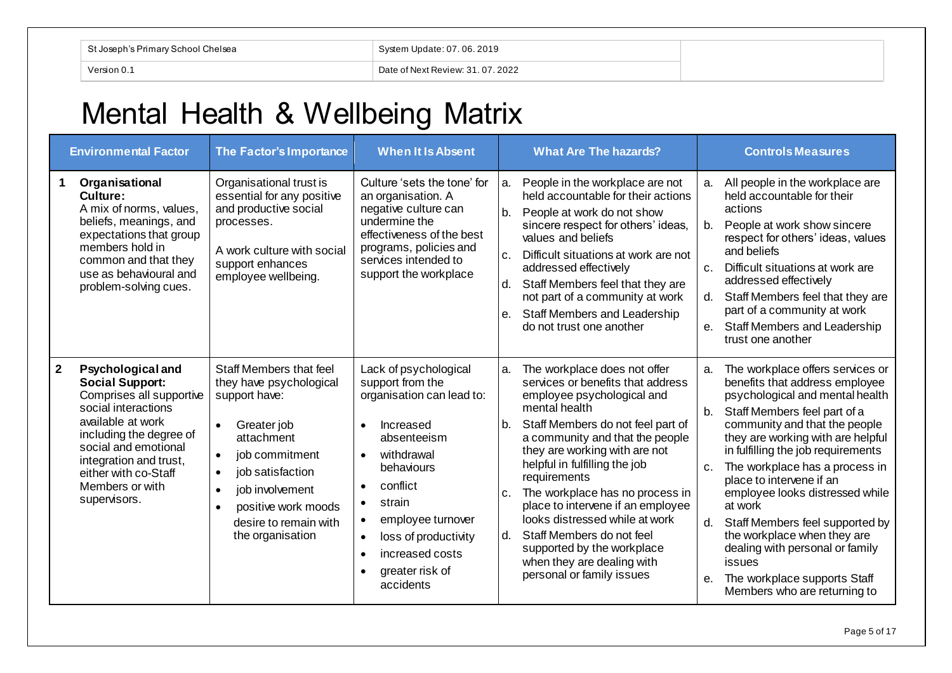| <sup>⇒ ⊾</sup> nnl Chelsea |                                 |
|----------------------------|---------------------------------|
| losenh                     | .06.2019                        |
|                            | ∵ndate: 07. u                   |
| 'ersion 0.                 | Date of Next Review: 31.07.2022 |

# Mental Health & Wellbeing Matrix

<span id="page-4-0"></span>

|                | <b>Environmental Factor</b>                                                                                                                                                                                                                                        | The Factor's Importance                                                                                                                                                                                                                                                           | <b>When It Is Absent</b>                                                                                                                                                                                                                                                                                                                                     |                            | <b>What Are The hazards?</b>                                                                                                                                                                                                                                                                                                                                                                                                                                                                               |                                             | <b>Controls Measures</b>                                                                                                                                                                                                                                                                                                                                                                                                                                                                                                                     |
|----------------|--------------------------------------------------------------------------------------------------------------------------------------------------------------------------------------------------------------------------------------------------------------------|-----------------------------------------------------------------------------------------------------------------------------------------------------------------------------------------------------------------------------------------------------------------------------------|--------------------------------------------------------------------------------------------------------------------------------------------------------------------------------------------------------------------------------------------------------------------------------------------------------------------------------------------------------------|----------------------------|------------------------------------------------------------------------------------------------------------------------------------------------------------------------------------------------------------------------------------------------------------------------------------------------------------------------------------------------------------------------------------------------------------------------------------------------------------------------------------------------------------|---------------------------------------------|----------------------------------------------------------------------------------------------------------------------------------------------------------------------------------------------------------------------------------------------------------------------------------------------------------------------------------------------------------------------------------------------------------------------------------------------------------------------------------------------------------------------------------------------|
| 1              | Organisational<br>Culture:<br>A mix of norms, values,<br>beliefs, meanings, and<br>expectations that group<br>members hold in<br>common and that they<br>use as behavioural and<br>problem-solving cues.                                                           | Organisational trust is<br>essential for any positive<br>and productive social<br>processes.<br>A work culture with social<br>support enhances<br>employee wellbeing.                                                                                                             | Culture 'sets the tone' for<br>an organisation. A<br>negative culture can<br>undermine the<br>effectiveness of the best<br>programs, policies and<br>services intended to<br>support the workplace                                                                                                                                                           | a.<br>b.<br>c.<br>d.<br>е. | People in the workplace are not<br>held accountable for their actions<br>People at work do not show<br>sincere respect for others' ideas,<br>values and beliefs<br>Difficult situations at work are not<br>addressed effectively<br>Staff Members feel that they are<br>not part of a community at work<br><b>Staff Members and Leadership</b><br>do not trust one another                                                                                                                                 | a.<br>b.<br>C <sub>1</sub><br>d.<br>$e_{1}$ | All people in the workplace are<br>held accountable for their<br>actions<br>People at work show sincere<br>respect for others' ideas, values<br>and beliefs<br>Difficult situations at work are<br>addressed effectively<br>Staff Members feel that they are<br>part of a community at work<br>Staff Members and Leadership<br>trust one another                                                                                                                                                                                             |
| $\overline{2}$ | <b>Psychological and</b><br><b>Social Support:</b><br>Comprises all supportive<br>social interactions<br>available at work<br>including the degree of<br>social and emotional<br>integration and trust,<br>either with co-Staff<br>Members or with<br>supervisors. | Staff Members that feel<br>they have psychological<br>support have:<br>Greater job<br>$\bullet$<br>attachment<br>job commitment<br>$\bullet$<br>job satisfaction<br>$\bullet$<br>job involvement<br>$\bullet$<br>positive work moods<br>desire to remain with<br>the organisation | Lack of psychological<br>support from the<br>organisation can lead to:<br>Increased<br>$\bullet$<br>absenteeism<br>withdrawal<br>$\bullet$<br>behaviours<br>conflict<br>$\bullet$<br>strain<br>$\bullet$<br>employee turnover<br>$\bullet$<br>loss of productivity<br>$\bullet$<br>increased costs<br>$\bullet$<br>greater risk of<br>$\bullet$<br>accidents | a.<br>b.<br>C.<br>d.       | The workplace does not offer<br>services or benefits that address<br>employee psychological and<br>mental health<br>Staff Members do not feel part of<br>a community and that the people<br>they are working with are not<br>helpful in fulfilling the job<br>requirements<br>The workplace has no process in<br>place to intervene if an employee<br>looks distressed while at work<br>Staff Members do not feel<br>supported by the workplace<br>when they are dealing with<br>personal or family issues | a.<br>b.<br>$C_{1}$<br>d.<br>е.             | The workplace offers services or<br>benefits that address employee<br>psychological and mental health<br>Staff Members feel part of a<br>community and that the people<br>they are working with are helpful<br>in fulfilling the job requirements<br>The workplace has a process in<br>place to intervene if an<br>employee looks distressed while<br>at work<br>Staff Members feel supported by<br>the workplace when they are<br>dealing with personal or family<br>issues<br>The workplace supports Staff<br>Members who are returning to |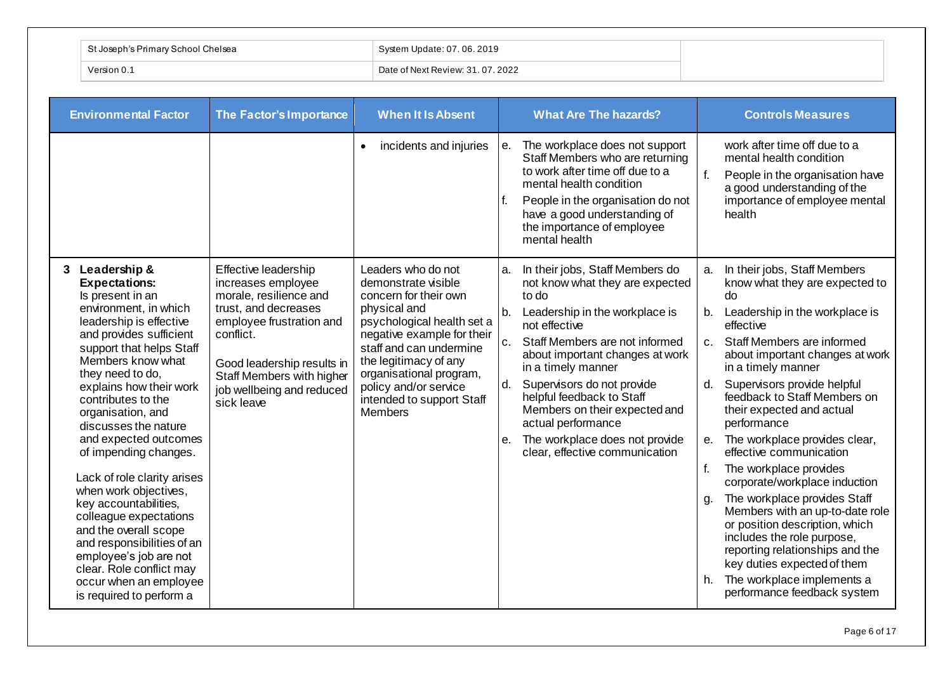| ∣ St Joseph's Primary School Chelsea | System Update: 07.06.2019         |
|--------------------------------------|-----------------------------------|
| Version 0.                           | Date of Next Review: 31, 07, 2022 |

| <b>Environmental Factor</b>                                                                                                                                                                                                                                                                                                                                                                                                                                                                                                                                                                                                                  | The Factor's Importance                                                                                                                                                                                                                     | <b>When It Is Absent</b>                                                                                                                                                                                                                                                                       | <b>What Are The hazards?</b>                                                                                                                                                                                                                                                                                                                                                                                                                  | <b>Controls Measures</b>                                                                                                                                                                                                                                                                                                                                                                                                                                                                                                                                                                                                                                                                                                                                                   |
|----------------------------------------------------------------------------------------------------------------------------------------------------------------------------------------------------------------------------------------------------------------------------------------------------------------------------------------------------------------------------------------------------------------------------------------------------------------------------------------------------------------------------------------------------------------------------------------------------------------------------------------------|---------------------------------------------------------------------------------------------------------------------------------------------------------------------------------------------------------------------------------------------|------------------------------------------------------------------------------------------------------------------------------------------------------------------------------------------------------------------------------------------------------------------------------------------------|-----------------------------------------------------------------------------------------------------------------------------------------------------------------------------------------------------------------------------------------------------------------------------------------------------------------------------------------------------------------------------------------------------------------------------------------------|----------------------------------------------------------------------------------------------------------------------------------------------------------------------------------------------------------------------------------------------------------------------------------------------------------------------------------------------------------------------------------------------------------------------------------------------------------------------------------------------------------------------------------------------------------------------------------------------------------------------------------------------------------------------------------------------------------------------------------------------------------------------------|
|                                                                                                                                                                                                                                                                                                                                                                                                                                                                                                                                                                                                                                              |                                                                                                                                                                                                                                             | incidents and injuries<br>$\bullet$                                                                                                                                                                                                                                                            | The workplace does not support<br>е.<br>Staff Members who are returning<br>to work after time off due to a<br>mental health condition<br>People in the organisation do not<br>f.<br>have a good understanding of<br>the importance of employee<br>mental health                                                                                                                                                                               | work after time off due to a<br>mental health condition<br>$f_{\cdot}$<br>People in the organisation have<br>a good understanding of the<br>importance of employee mental<br>health                                                                                                                                                                                                                                                                                                                                                                                                                                                                                                                                                                                        |
| 3 Leadership &<br><b>Expectations:</b><br>Is present in an<br>environment, in which<br>leadership is effective<br>and provides sufficient<br>support that helps Staff<br>Members know what<br>they need to do,<br>explains how their work<br>contributes to the<br>organisation, and<br>discusses the nature<br>and expected outcomes<br>of impending changes.<br>Lack of role clarity arises<br>when work objectives,<br>key accountabilities,<br>colleague expectations<br>and the overall scope<br>and responsibilities of an<br>employee's job are not<br>clear. Role conflict may<br>occur when an employee<br>is required to perform a | Effective leadership<br>increases employee<br>morale, resilience and<br>trust, and decreases<br>employee frustration and<br>conflict.<br>Good leadership results in<br>Staff Members with higher<br>job wellbeing and reduced<br>sick leave | Leaders who do not<br>demonstrate visible<br>concern for their own<br>physical and<br>psychological health set a<br>negative example for their<br>staff and can undermine<br>the legitimacy of any<br>organisational program,<br>policy and/or service<br>intended to support Staff<br>Members | In their jobs, Staff Members do<br>a.<br>not know what they are expected<br>to do<br>Leadership in the workplace is<br>b.<br>not effective<br>c.<br>Staff Members are not informed<br>about important changes at work<br>in a timely manner<br>d.<br>Supervisors do not provide<br>helpful feedback to Staff<br>Members on their expected and<br>actual performance<br>The workplace does not provide<br>е.<br>clear, effective communication | In their jobs, Staff Members<br>a.<br>know what they are expected to<br>do<br>Leadership in the workplace is<br>b.<br>effective<br>Staff Members are informed<br>C <sub>1</sub><br>about important changes at work<br>in a timely manner<br>Supervisors provide helpful<br>d.<br>feedback to Staff Members on<br>their expected and actual<br>performance<br>The workplace provides clear,<br>е.<br>effective communication<br>f.<br>The workplace provides<br>corporate/workplace induction<br>The workplace provides Staff<br>g.<br>Members with an up-to-date role<br>or position description, which<br>includes the role purpose,<br>reporting relationships and the<br>key duties expected of them<br>The workplace implements a<br>h.<br>performance feedback system |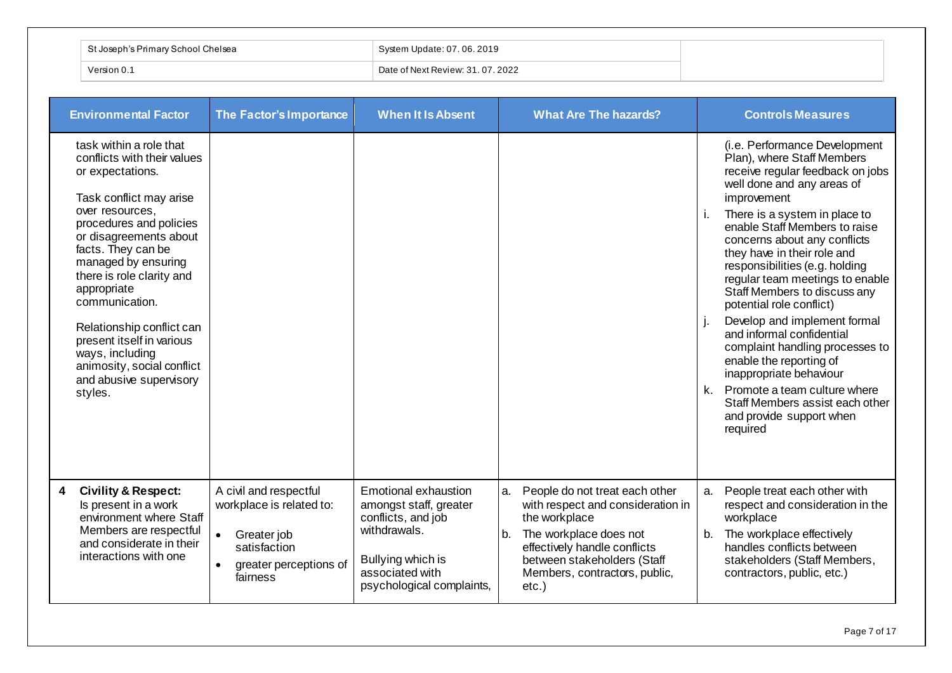| .`helsea<br>/School<br>locant | Update: 07, 06, 2019<br>System      |
|-------------------------------|-------------------------------------|
| Version 0.                    | f Next Review: 31, 07, 2022<br>Dat. |

| <b>Environmental Factor</b>                                                                                                                                                                                                                                                                                                                                                                                                               | The Factor's Importance                                                                                                              | <b>When It Is Absent</b>                                                                                                                                  | <b>What Are The hazards?</b>                                                                                                                                                                                                           | <b>Controls Measures</b>                                                                                                                                                                                                                                                                                                                                                                                                                                                                                                                                                                                                                                                                 |
|-------------------------------------------------------------------------------------------------------------------------------------------------------------------------------------------------------------------------------------------------------------------------------------------------------------------------------------------------------------------------------------------------------------------------------------------|--------------------------------------------------------------------------------------------------------------------------------------|-----------------------------------------------------------------------------------------------------------------------------------------------------------|----------------------------------------------------------------------------------------------------------------------------------------------------------------------------------------------------------------------------------------|------------------------------------------------------------------------------------------------------------------------------------------------------------------------------------------------------------------------------------------------------------------------------------------------------------------------------------------------------------------------------------------------------------------------------------------------------------------------------------------------------------------------------------------------------------------------------------------------------------------------------------------------------------------------------------------|
| task within a role that<br>conflicts with their values<br>or expectations.<br>Task conflict may arise<br>over resources,<br>procedures and policies<br>or disagreements about<br>facts. They can be<br>managed by ensuring<br>there is role clarity and<br>appropriate<br>communication.<br>Relationship conflict can<br>present itself in various<br>ways, including<br>animosity, social conflict<br>and abusive supervisory<br>styles. |                                                                                                                                      |                                                                                                                                                           |                                                                                                                                                                                                                                        | (i.e. Performance Development<br>Plan), where Staff Members<br>receive regular feedback on jobs<br>well done and any areas of<br>improvement<br>There is a system in place to<br>j.<br>enable Staff Members to raise<br>concerns about any conflicts<br>they have in their role and<br>responsibilities (e.g. holding<br>regular team meetings to enable<br>Staff Members to discuss any<br>potential role conflict)<br>Develop and implement formal<br>and informal confidential<br>complaint handling processes to<br>enable the reporting of<br>inappropriate behaviour<br>k. Promote a team culture where<br>Staff Members assist each other<br>and provide support when<br>required |
| <b>Civility &amp; Respect:</b><br>4<br>Is present in a work<br>environment where Staff<br>Members are respectful<br>and considerate in their<br>interactions with one                                                                                                                                                                                                                                                                     | A civil and respectful<br>workplace is related to:<br>Greater job<br>satisfaction<br>greater perceptions of<br>$\bullet$<br>fairness | Emotional exhaustion<br>amongst staff, greater<br>conflicts, and job<br>withdrawals.<br>Bullying which is<br>associated with<br>psychological complaints, | People do not treat each other<br>a.<br>with respect and consideration in<br>the workplace<br>The workplace does not<br>b.<br>effectively handle conflicts<br>between stakeholders (Staff<br>Members, contractors, public,<br>$etc.$ ) | People treat each other with<br>a.<br>respect and consideration in the<br>workplace<br>b.<br>The workplace effectively<br>handles conflicts between<br>stakeholders (Staff Members,<br>contractors, public, etc.)                                                                                                                                                                                                                                                                                                                                                                                                                                                                        |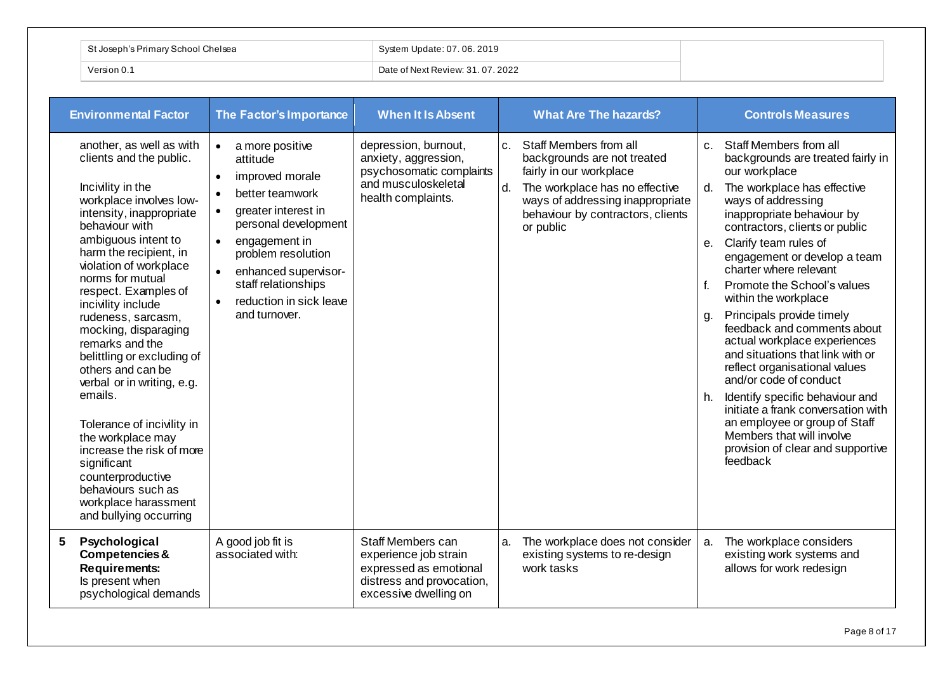| `t Joseph's Primary School Chelsea | System Update: 07.06.2019                  |
|------------------------------------|--------------------------------------------|
| Version 0. .                       | $^{\circ}$ Date of Next Review: 31.07.2022 |

| <b>Environmental Factor</b>                                                                                                                                                                                                                                                                                                                                                                                                                                                                                                                                                                                                                             | The Factor's Importance                                                                                                                                                                                                                                                                                                                       | <b>When It Is Absent</b>                                                                                                   | <b>What Are The hazards?</b>                                                                                                                                                                                                     | <b>Controls Measures</b>                                                                                                                                                                                                                                                                                                                                                                                                                                                                                                                                                                                                                                                                                                                                                             |
|---------------------------------------------------------------------------------------------------------------------------------------------------------------------------------------------------------------------------------------------------------------------------------------------------------------------------------------------------------------------------------------------------------------------------------------------------------------------------------------------------------------------------------------------------------------------------------------------------------------------------------------------------------|-----------------------------------------------------------------------------------------------------------------------------------------------------------------------------------------------------------------------------------------------------------------------------------------------------------------------------------------------|----------------------------------------------------------------------------------------------------------------------------|----------------------------------------------------------------------------------------------------------------------------------------------------------------------------------------------------------------------------------|--------------------------------------------------------------------------------------------------------------------------------------------------------------------------------------------------------------------------------------------------------------------------------------------------------------------------------------------------------------------------------------------------------------------------------------------------------------------------------------------------------------------------------------------------------------------------------------------------------------------------------------------------------------------------------------------------------------------------------------------------------------------------------------|
| another, as well as with<br>clients and the public.<br>Incivility in the<br>workplace involves low-<br>intensity, inappropriate<br>behaviour with<br>ambiguous intent to<br>harm the recipient, in<br>violation of workplace<br>norms for mutual<br>respect. Examples of<br>incivility include<br>rudeness, sarcasm,<br>mocking, disparaging<br>remarks and the<br>belittling or excluding of<br>others and can be<br>verbal or in writing, e.g.<br>emails.<br>Tolerance of incivility in<br>the workplace may<br>increase the risk of more<br>significant<br>counterproductive<br>behaviours such as<br>workplace harassment<br>and bullying occurring | a more positive<br>$\bullet$<br>attitude<br>improved morale<br>$\bullet$<br>better teamwork<br>$\bullet$<br>greater interest in<br>$\bullet$<br>personal development<br>engagement in<br>$\bullet$<br>problem resolution<br>enhanced supervisor-<br>$\bullet$<br>staff relationships<br>reduction in sick leave<br>$\bullet$<br>and turnover. | depression, burnout,<br>anxiety, aggression,<br>psychosomatic complaints<br>and musculoskeletal<br>health complaints.      | Staff Members from all<br>C <sub>1</sub><br>backgrounds are not treated<br>fairly in our workplace<br>The workplace has no effective<br>d.<br>ways of addressing inappropriate<br>behaviour by contractors, clients<br>or public | Staff Members from all<br>$C_{\rm L}$<br>backgrounds are treated fairly in<br>our workplace<br>The workplace has effective<br>d.<br>ways of addressing<br>inappropriate behaviour by<br>contractors, clients or public<br>Clarify team rules of<br>е.<br>engagement or develop a team<br>charter where relevant<br>$f_{\cdot}$<br>Promote the School's values<br>within the workplace<br>Principals provide timely<br>g.<br>feedback and comments about<br>actual workplace experiences<br>and situations that link with or<br>reflect organisational values<br>and/or code of conduct<br>Identify specific behaviour and<br>h.<br>initiate a frank conversation with<br>an employee or group of Staff<br>Members that will involve<br>provision of clear and supportive<br>feedback |
| Psychological<br>5<br>Competencies &<br><b>Requirements:</b><br>Is present when<br>psychological demands                                                                                                                                                                                                                                                                                                                                                                                                                                                                                                                                                | A good job fit is<br>associated with:                                                                                                                                                                                                                                                                                                         | Staff Members can<br>experience job strain<br>expressed as emotional<br>distress and provocation,<br>excessive dwelling on | The workplace does not consider<br>a.<br>existing systems to re-design<br>work tasks                                                                                                                                             | The workplace considers<br>a.<br>existing work systems and<br>allows for work redesign                                                                                                                                                                                                                                                                                                                                                                                                                                                                                                                                                                                                                                                                                               |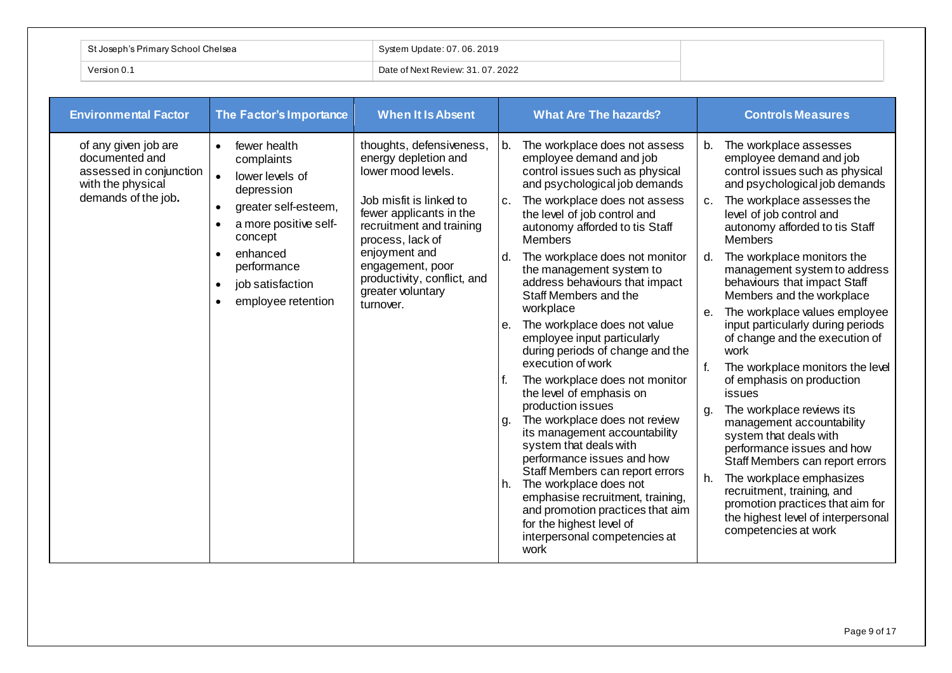| Priman     | : $\sim$ | 2019<br>indot                   |
|------------|----------|---------------------------------|
| Version 0. |          | Date of Next Review: 31.07.2022 |

| <b>Environmental Factor</b>                                                                                   | The Factor's Importance                                                                                                                                                                                                | <b>When It Is Absent</b>                                                                                                                                                                                                                                                           | <b>What Are The hazards?</b>                                                                                                                                                                                                                                                                                                                                                                                                                                                                                                                                                                                                                                                                                                                                                                                                                                                                                                                                                        | <b>Controls Measures</b>                                                                                                                                                                                                                                                                                                                                                                                                                                                                                                                                                                                                                                                                                                                                                                                                                                                                                                  |
|---------------------------------------------------------------------------------------------------------------|------------------------------------------------------------------------------------------------------------------------------------------------------------------------------------------------------------------------|------------------------------------------------------------------------------------------------------------------------------------------------------------------------------------------------------------------------------------------------------------------------------------|-------------------------------------------------------------------------------------------------------------------------------------------------------------------------------------------------------------------------------------------------------------------------------------------------------------------------------------------------------------------------------------------------------------------------------------------------------------------------------------------------------------------------------------------------------------------------------------------------------------------------------------------------------------------------------------------------------------------------------------------------------------------------------------------------------------------------------------------------------------------------------------------------------------------------------------------------------------------------------------|---------------------------------------------------------------------------------------------------------------------------------------------------------------------------------------------------------------------------------------------------------------------------------------------------------------------------------------------------------------------------------------------------------------------------------------------------------------------------------------------------------------------------------------------------------------------------------------------------------------------------------------------------------------------------------------------------------------------------------------------------------------------------------------------------------------------------------------------------------------------------------------------------------------------------|
| of any given job are<br>documented and<br>assessed in conjunction<br>with the physical<br>demands of the job. | fewer health<br>complaints<br>lower levels of<br>$\bullet$<br>depression<br>greater self-esteem,<br>$\bullet$<br>a more positive self-<br>concept<br>enhanced<br>performance<br>job satisfaction<br>employee retention | thoughts, defensiveness,<br>energy depletion and<br>lower mood levels.<br>Job misfit is linked to<br>fewer applicants in the<br>recruitment and training<br>process, lack of<br>enjoyment and<br>engagement, poor<br>productivity, conflict, and<br>greater voluntary<br>turnover. | The workplace does not assess<br>b.<br>employee demand and job<br>control issues such as physical<br>and psychological job demands<br>The workplace does not assess<br>C.<br>the level of job control and<br>autonomy afforded to tis Staff<br><b>Members</b><br>The workplace does not monitor<br>$d_{\cdot}$<br>the management system to<br>address behaviours that impact<br>Staff Members and the<br>workplace<br>The workplace does not value<br>e.<br>employee input particularly<br>during periods of change and the<br>execution of work<br>The workplace does not monitor<br>the level of emphasis on<br>production issues<br>The workplace does not review<br>g.<br>its management accountability<br>system that deals with<br>performance issues and how<br>Staff Members can report errors<br>The workplace does not<br>h.<br>emphasise recruitment, training,<br>and promotion practices that aim<br>for the highest level of<br>interpersonal competencies at<br>work | The workplace assesses<br>b.<br>employee demand and job<br>control issues such as physical<br>and psychological job demands<br>The workplace assesses the<br>$C_{1}$<br>level of job control and<br>autonomy afforded to tis Staff<br><b>Members</b><br>The workplace monitors the<br>d.<br>management system to address<br>behaviours that impact Staff<br>Members and the workplace<br>The workplace values employee<br>е.<br>input particularly during periods<br>of change and the execution of<br>work<br>f.<br>The workplace monitors the level<br>of emphasis on production<br>issues<br>The workplace reviews its<br>g.<br>management accountability<br>system that deals with<br>performance issues and how<br>Staff Members can report errors<br>The workplace emphasizes<br>h.<br>recruitment, training, and<br>promotion practices that aim for<br>the highest level of interpersonal<br>competencies at work |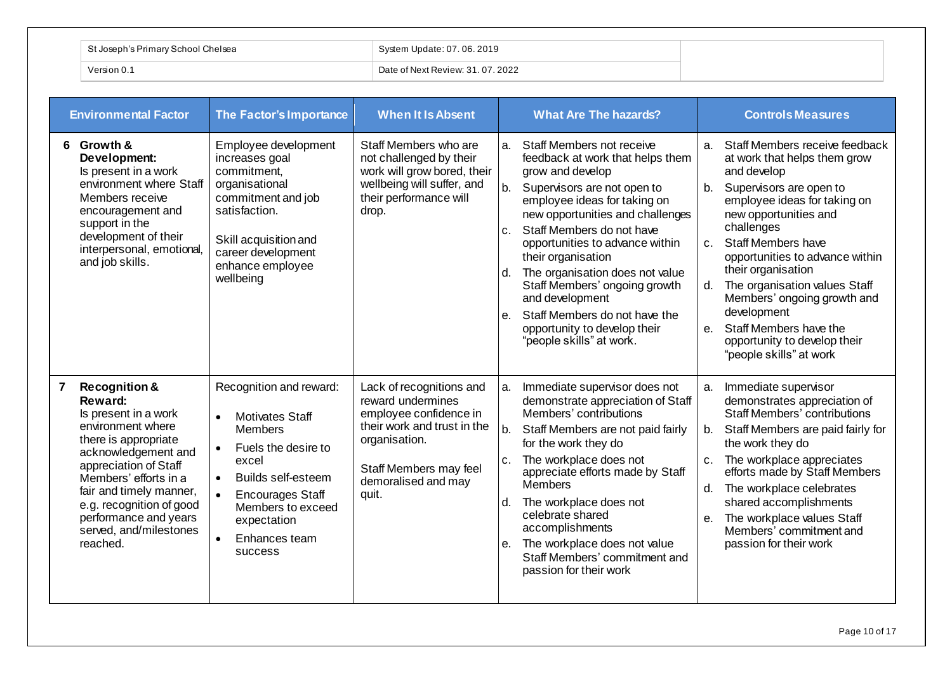| └ St Joseph's Primary School Chelsea | System Update: 07.06.2019         |
|--------------------------------------|-----------------------------------|
| ∑ersion 0.                           | Date of Next Review: 31, 07, 2022 |

| <b>Environmental Factor</b>                                                                                                                                                                                                                                                                                  | The Factor's Importance                                                                                                                                                                                                                         | <b>When It Is Absent</b>                                                                                                                                                          | <b>What Are The hazards?</b>                                                                                                                                                                                                                                                                                                                                                                                                                                                                                         | <b>Controls Measures</b>                                                                                                                                                                                                                                                                                                                                                                                                                                                          |
|--------------------------------------------------------------------------------------------------------------------------------------------------------------------------------------------------------------------------------------------------------------------------------------------------------------|-------------------------------------------------------------------------------------------------------------------------------------------------------------------------------------------------------------------------------------------------|-----------------------------------------------------------------------------------------------------------------------------------------------------------------------------------|----------------------------------------------------------------------------------------------------------------------------------------------------------------------------------------------------------------------------------------------------------------------------------------------------------------------------------------------------------------------------------------------------------------------------------------------------------------------------------------------------------------------|-----------------------------------------------------------------------------------------------------------------------------------------------------------------------------------------------------------------------------------------------------------------------------------------------------------------------------------------------------------------------------------------------------------------------------------------------------------------------------------|
| 6 Growth &<br>Development:<br>Is present in a work<br>environment where Staff<br>Members receive<br>encouragement and<br>support in the<br>development of their<br>interpersonal, emotional,<br>and job skills.                                                                                              | Employee development<br>increases goal<br>commitment,<br>organisational<br>commitment and job<br>satisfaction.<br>Skill acquisition and<br>career development<br>enhance employee<br>wellbeing                                                  | Staff Members who are<br>not challenged by their<br>work will grow bored, their<br>wellbeing will suffer, and<br>their performance will<br>drop.                                  | Staff Members not receive<br>a.<br>feedback at work that helps them<br>grow and develop<br>b <sub>1</sub><br>Supervisors are not open to<br>employee ideas for taking on<br>new opportunities and challenges<br>Staff Members do not have<br>C <sub>1</sub><br>opportunities to advance within<br>their organisation<br>The organisation does not value<br>d.<br>Staff Members' ongoing growth<br>and development<br>Staff Members do not have the<br>e.<br>opportunity to develop their<br>"people skills" at work. | Staff Members receive feedback<br>a.<br>at work that helps them grow<br>and develop<br>Supervisors are open to<br>b.<br>employee ideas for taking on<br>new opportunities and<br>challenges<br><b>Staff Members have</b><br>$C_{1}$<br>opportunities to advance within<br>their organisation<br>The organisation values Staff<br>d.<br>Members' ongoing growth and<br>development<br>Staff Members have the<br>$e_{1}$<br>opportunity to develop their<br>"people skills" at work |
| <b>Recognition &amp;</b><br>7<br>Reward:<br>Is present in a work<br>environment where<br>there is appropriate<br>acknowledgement and<br>appreciation of Staff<br>Members' efforts in a<br>fair and timely manner,<br>e.g. recognition of good<br>performance and years<br>served, and/milestones<br>reached. | Recognition and reward:<br><b>Motivates Staff</b><br><b>Members</b><br>Fuels the desire to<br>excel<br><b>Builds self-esteem</b><br>$\bullet$<br><b>Encourages Staff</b><br>Members to exceed<br>expectation<br>Enhances team<br><b>SUCCESS</b> | Lack of recognitions and<br>reward undermines<br>employee confidence in<br>their work and trust in the<br>organisation.<br>Staff Members may feel<br>demoralised and may<br>quit. | Immediate supervisor does not<br>a.<br>demonstrate appreciation of Staff<br>Members' contributions<br>b.<br>Staff Members are not paid fairly<br>for the work they do<br>The workplace does not<br>$C_{\cdot}$<br>appreciate efforts made by Staff<br><b>Members</b><br>The workplace does not<br>d.<br>celebrate shared<br>accomplishments<br>The workplace does not value<br>е.<br>Staff Members' commitment and<br>passion for their work                                                                         | Immediate supervisor<br>а.<br>demonstrates appreciation of<br><b>Staff Members' contributions</b><br>Staff Members are paid fairly for<br>b.<br>the work they do<br>The workplace appreciates<br>C <sub>1</sub><br>efforts made by Staff Members<br>The workplace celebrates<br>d.<br>shared accomplishments<br>The workplace values Staff<br>$e_{i}$<br>Members' commitment and<br>passion for their work                                                                        |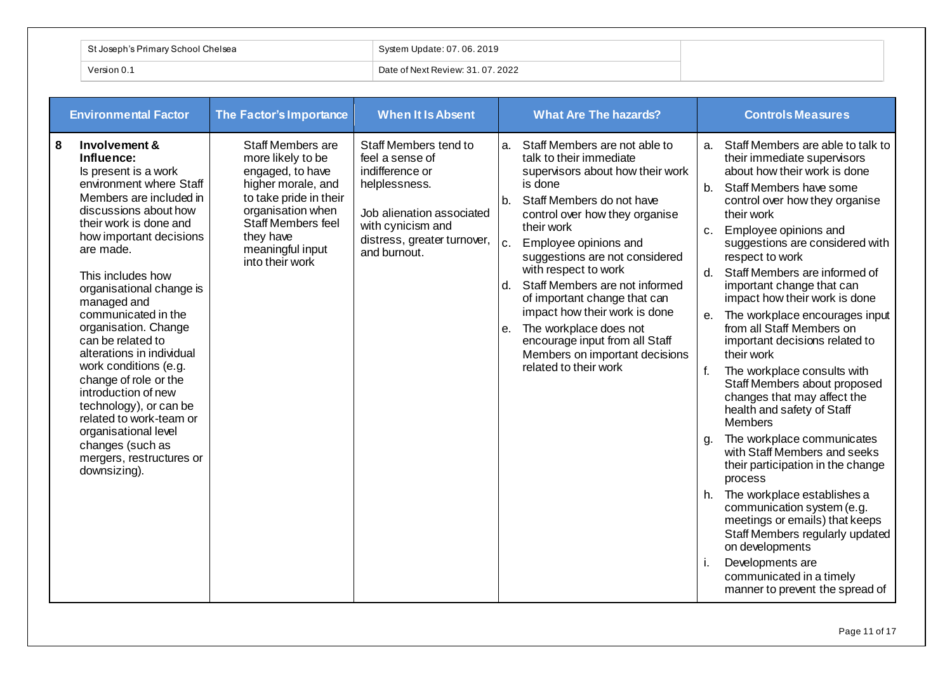|             | St Joseph's Primary School Chelsea | System Update: 07.06.2019         |
|-------------|------------------------------------|-----------------------------------|
| Version 0.1 |                                    | Date of Next Review: 31, 07, 2022 |

| <b>Environmental Factor</b>                                                                                                                                                                                                                                                                                                                                                                                                                                                                                                                                                                      | The Factor's Importance                                                                                                                                                                                          | <b>When It Is Absent</b>                                                                                                                                                      | <b>What Are The hazards?</b>                                                                                                                                                                                                                                                                                                                                                                                                                                                                                                                | <b>Controls Measures</b>                                                                                                                                                                                                                                                                                                                                                                                                                                                                                                                                                                                                                                                                                                                                                                                                                                                                                                                                                                                                                       |
|--------------------------------------------------------------------------------------------------------------------------------------------------------------------------------------------------------------------------------------------------------------------------------------------------------------------------------------------------------------------------------------------------------------------------------------------------------------------------------------------------------------------------------------------------------------------------------------------------|------------------------------------------------------------------------------------------------------------------------------------------------------------------------------------------------------------------|-------------------------------------------------------------------------------------------------------------------------------------------------------------------------------|---------------------------------------------------------------------------------------------------------------------------------------------------------------------------------------------------------------------------------------------------------------------------------------------------------------------------------------------------------------------------------------------------------------------------------------------------------------------------------------------------------------------------------------------|------------------------------------------------------------------------------------------------------------------------------------------------------------------------------------------------------------------------------------------------------------------------------------------------------------------------------------------------------------------------------------------------------------------------------------------------------------------------------------------------------------------------------------------------------------------------------------------------------------------------------------------------------------------------------------------------------------------------------------------------------------------------------------------------------------------------------------------------------------------------------------------------------------------------------------------------------------------------------------------------------------------------------------------------|
| 8<br>Involvement &<br>Influence:<br>Is present is a work<br>environment where Staff<br>Members are included in<br>discussions about how<br>their work is done and<br>how important decisions<br>are made.<br>This includes how<br>organisational change is<br>managed and<br>communicated in the<br>organisation. Change<br>can be related to<br>alterations in individual<br>work conditions (e.g.<br>change of role or the<br>introduction of new<br>technology), or can be<br>related to work-team or<br>organisational level<br>changes (such as<br>mergers, restructures or<br>downsizing). | <b>Staff Members are</b><br>more likely to be<br>engaged, to have<br>higher morale, and<br>to take pride in their<br>organisation when<br>Staff Members feel<br>they have<br>meaningful input<br>into their work | Staff Members tend to<br>feel a sense of<br>indifference or<br>helplessness.<br>Job alienation associated<br>with cynicism and<br>distress, greater turnover,<br>and burnout. | Staff Members are not able to<br>a.<br>talk to their immediate<br>supervisors about how their work<br>is done<br>Staff Members do not have<br>b <sub>1</sub><br>control over how they organise<br>their work<br>c.<br>Employee opinions and<br>suggestions are not considered<br>with respect to work<br>Staff Members are not informed<br>d.<br>of important change that can<br>impact how their work is done<br>The workplace does not<br>е.<br>encourage input from all Staff<br>Members on important decisions<br>related to their work | Staff Members are able to talk to<br>а.<br>their immediate supervisors<br>about how their work is done<br>Staff Members have some<br>b.<br>control over how they organise<br>their work<br>Employee opinions and<br>C <sub>1</sub><br>suggestions are considered with<br>respect to work<br>Staff Members are informed of<br>d.<br>important change that can<br>impact how their work is done<br>The workplace encourages input<br>е.<br>from all Staff Members on<br>important decisions related to<br>their work<br>f.<br>The workplace consults with<br>Staff Members about proposed<br>changes that may affect the<br>health and safety of Staff<br><b>Members</b><br>The workplace communicates<br>g.<br>with Staff Members and seeks<br>their participation in the change<br>process<br>The workplace establishes a<br>h.<br>communication system (e.g.<br>meetings or emails) that keeps<br>Staff Members regularly updated<br>on developments<br>Developments are<br>j.<br>communicated in a timely<br>manner to prevent the spread of |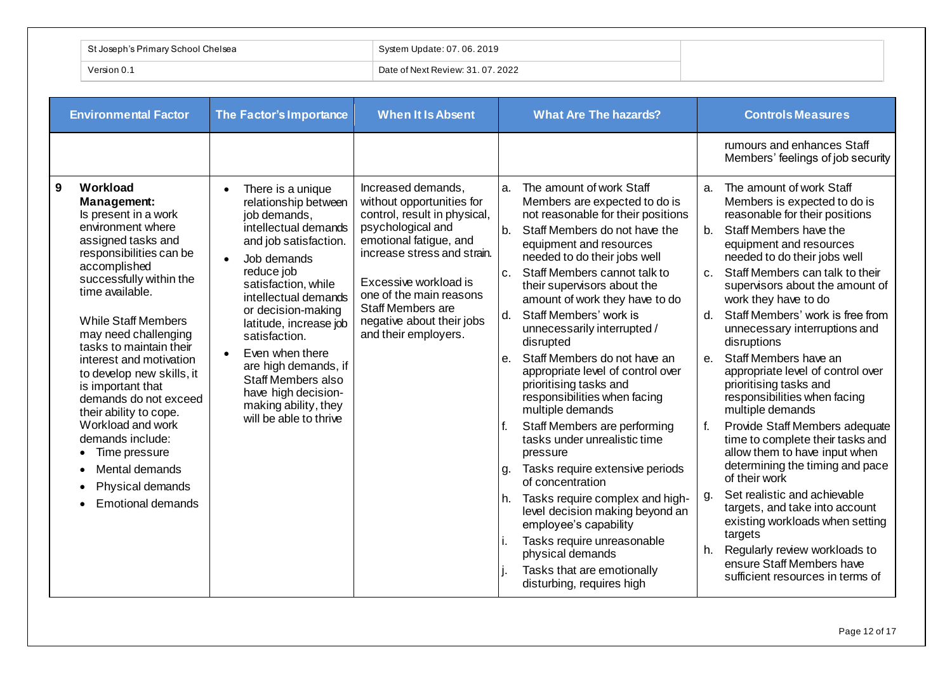| i's Primary School Chelsea<br>St Joseph's | System Update: 07.06.2019         |
|-------------------------------------------|-----------------------------------|
| Version 0.                                | Date of Next Review: 31, 07, 2022 |

| <b>Environmental Factor</b>                                                                                                                                                                                                                                                                                                                                                                                                                                                                                                           | The Factor's Importance                                                                                                                                                                                                                                                                                                                                                                                                     | <b>When It Is Absent</b>                                                                                                                                                                                                                                                                    | <b>What Are The hazards?</b>                                                                                                                                                                                                                                                                                                                                                                                                                                                                                                                                                                                                                                                                                                                                                                                                                                                                                                           | <b>Controls Measures</b>                                                                                                                                                                                                                                                                                                                                                                                                                                                                                                                                                                                                                                                                                                                                                                                                                                                                                                                                             |
|---------------------------------------------------------------------------------------------------------------------------------------------------------------------------------------------------------------------------------------------------------------------------------------------------------------------------------------------------------------------------------------------------------------------------------------------------------------------------------------------------------------------------------------|-----------------------------------------------------------------------------------------------------------------------------------------------------------------------------------------------------------------------------------------------------------------------------------------------------------------------------------------------------------------------------------------------------------------------------|---------------------------------------------------------------------------------------------------------------------------------------------------------------------------------------------------------------------------------------------------------------------------------------------|----------------------------------------------------------------------------------------------------------------------------------------------------------------------------------------------------------------------------------------------------------------------------------------------------------------------------------------------------------------------------------------------------------------------------------------------------------------------------------------------------------------------------------------------------------------------------------------------------------------------------------------------------------------------------------------------------------------------------------------------------------------------------------------------------------------------------------------------------------------------------------------------------------------------------------------|----------------------------------------------------------------------------------------------------------------------------------------------------------------------------------------------------------------------------------------------------------------------------------------------------------------------------------------------------------------------------------------------------------------------------------------------------------------------------------------------------------------------------------------------------------------------------------------------------------------------------------------------------------------------------------------------------------------------------------------------------------------------------------------------------------------------------------------------------------------------------------------------------------------------------------------------------------------------|
|                                                                                                                                                                                                                                                                                                                                                                                                                                                                                                                                       |                                                                                                                                                                                                                                                                                                                                                                                                                             |                                                                                                                                                                                                                                                                                             |                                                                                                                                                                                                                                                                                                                                                                                                                                                                                                                                                                                                                                                                                                                                                                                                                                                                                                                                        | rumours and enhances Staff<br>Members' feelings of job security                                                                                                                                                                                                                                                                                                                                                                                                                                                                                                                                                                                                                                                                                                                                                                                                                                                                                                      |
| 9<br>Workload<br>Management:<br>Is present in a work<br>environment where<br>assigned tasks and<br>responsibilities can be<br>accomplished<br>successfully within the<br>time available.<br><b>While Staff Members</b><br>may need challenging<br>tasks to maintain their<br>interest and motivation<br>to develop new skills, it<br>is important that<br>demands do not exceed<br>their ability to cope.<br>Workload and work<br>demands include:<br>Time pressure<br>Mental demands<br>Physical demands<br><b>Emotional demands</b> | There is a unique<br>$\bullet$<br>relationship between<br>job demands,<br>intellectual demands<br>and job satisfaction.<br>Job demands<br>reduce job<br>satisfaction, while<br>intellectual demands<br>or decision-making<br>latitude, increase job<br>satisfaction.<br>Even when there<br>$\bullet$<br>are high demands, if<br>Staff Members also<br>have high decision-<br>making ability, they<br>will be able to thrive | Increased demands,<br>without opportunities for<br>control, result in physical,<br>psychological and<br>emotional fatigue, and<br>increase stress and strain.<br>Excessive workload is<br>one of the main reasons<br>Staff Members are<br>negative about their jobs<br>and their employers. | The amount of work Staff<br>a.<br>Members are expected to do is<br>not reasonable for their positions<br>Staff Members do not have the<br>b <sub>1</sub><br>equipment and resources<br>needed to do their jobs well<br>Staff Members cannot talk to<br>c.<br>their supervisors about the<br>amount of work they have to do<br>Staff Members' work is<br>d.<br>unnecessarily interrupted /<br>disrupted<br>Staff Members do not have an<br>е.<br>appropriate level of control over<br>prioritising tasks and<br>responsibilities when facing<br>multiple demands<br>Staff Members are performing<br>f.<br>tasks under unrealistic time<br>pressure<br>Tasks require extensive periods<br>g.<br>of concentration<br>Tasks require complex and high-<br>h.<br>level decision making beyond an<br>employee's capability<br>Tasks require unreasonable<br>İ.<br>physical demands<br>Tasks that are emotionally<br>disturbing, requires high | The amount of work Staff<br>a <sub>z</sub><br>Members is expected to do is<br>reasonable for their positions<br>Staff Members have the<br>$b_{1}$<br>equipment and resources<br>needed to do their jobs well<br>Staff Members can talk to their<br>$C_{\cdot}$<br>supervisors about the amount of<br>work they have to do<br>Staff Members' work is free from<br>d.<br>unnecessary interruptions and<br>disruptions<br>Staff Members have an<br>е.<br>appropriate level of control over<br>prioritising tasks and<br>responsibilities when facing<br>multiple demands<br>f.<br>Provide Staff Members adequate<br>time to complete their tasks and<br>allow them to have input when<br>determining the timing and pace<br>of their work<br>Set realistic and achievable<br>g.<br>targets, and take into account<br>existing workloads when setting<br>targets<br>Regularly review workloads to<br>h.<br>ensure Staff Members have<br>sufficient resources in terms of |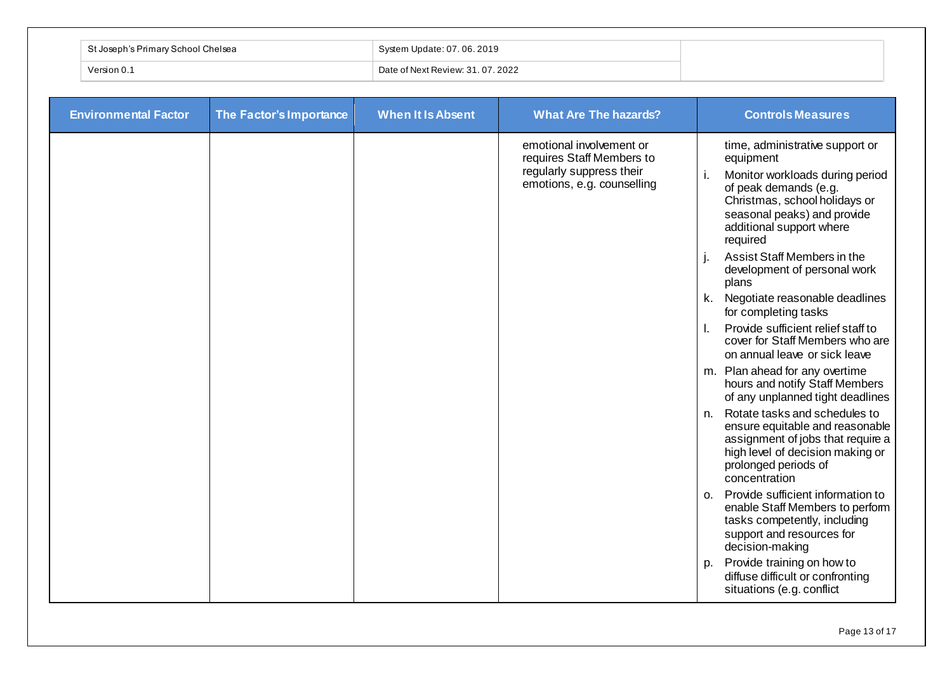| t Joseph's Primary School Chelsea `` | System Update: 07.06.2019         |
|--------------------------------------|-----------------------------------|
| Version 0.1                          | Date of Next Review: 31, 07, 2022 |

| <b>Environmental Factor</b> | The Factor's Importance | <b>When It Is Absent</b> | <b>What Are The hazards?</b>                                                                                    | <b>Controls Measures</b>                                                                                                                                                                                         |
|-----------------------------|-------------------------|--------------------------|-----------------------------------------------------------------------------------------------------------------|------------------------------------------------------------------------------------------------------------------------------------------------------------------------------------------------------------------|
|                             |                         |                          | emotional involvement or<br>requires Staff Members to<br>regularly suppress their<br>emotions, e.g. counselling | time, administrative support or<br>equipment<br>Monitor workloads during period<br>of peak demands (e.g.<br>Christmas, school holidays or<br>seasonal peaks) and provide<br>additional support where<br>required |
|                             |                         |                          |                                                                                                                 | Assist Staff Members in the<br>j.<br>development of personal work<br>plans                                                                                                                                       |
|                             |                         |                          |                                                                                                                 | k. Negotiate reasonable deadlines<br>for completing tasks                                                                                                                                                        |
|                             |                         |                          |                                                                                                                 | Provide sufficient relief staff to<br>$\mathbf{L}$<br>cover for Staff Members who are<br>on annual leave or sick leave                                                                                           |
|                             |                         |                          |                                                                                                                 | m. Plan ahead for any overtime<br>hours and notify Staff Members<br>of any unplanned tight deadlines                                                                                                             |
|                             |                         |                          |                                                                                                                 | n. Rotate tasks and schedules to<br>ensure equitable and reasonable<br>assignment of jobs that require a<br>high level of decision making or<br>prolonged periods of<br>concentration                            |
|                             |                         |                          |                                                                                                                 | Provide sufficient information to<br>O <sub>1</sub><br>enable Staff Members to perform<br>tasks competently, including<br>support and resources for<br>decision-making                                           |
|                             |                         |                          |                                                                                                                 | Provide training on how to<br>p.<br>diffuse difficult or confronting<br>situations (e.g. conflict                                                                                                                |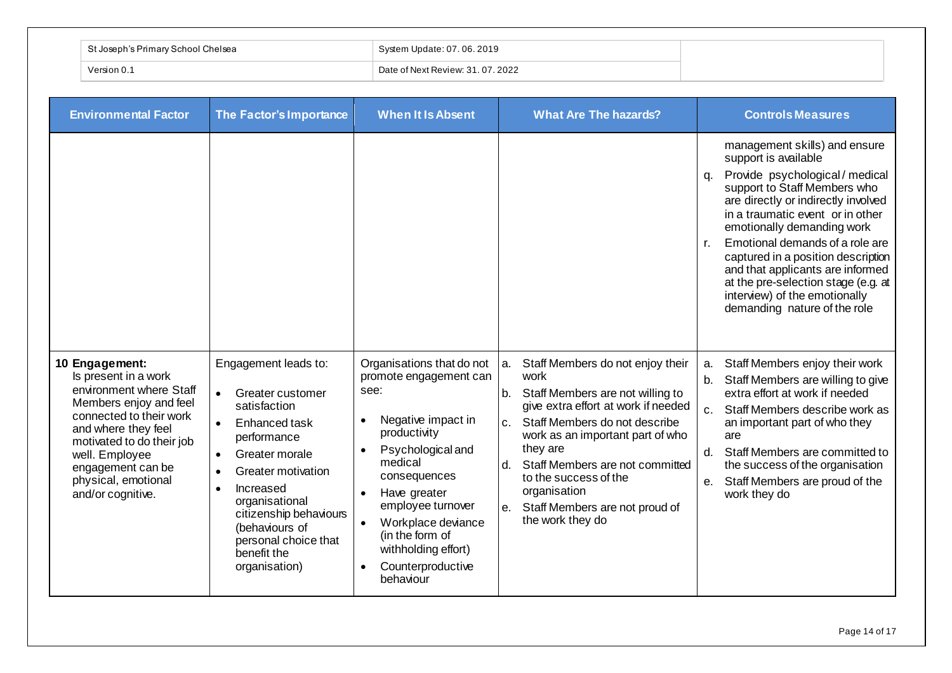| $\sim$ obool $\prime$<br>⊶ Josephin<br>Primary | Update: 07, 06, 2019              |
|------------------------------------------------|-----------------------------------|
| Version 0.1                                    | Date of Next Review: 31, 07, 2022 |

| <b>Environmental Factor</b>                                                                                                                                                                                                                                   | The Factor's Importance                                                                                                                                                                                                                                                                                                 | <b>When It Is Absent</b>                                                                                                                                                                                                                                                                                                                     | <b>What Are The hazards?</b>                                                                                                                                                                                                                                                                                                                                                          | <b>Controls Measures</b>                                                                                                                                                                                                                                                                                                                                                                                                                                           |
|---------------------------------------------------------------------------------------------------------------------------------------------------------------------------------------------------------------------------------------------------------------|-------------------------------------------------------------------------------------------------------------------------------------------------------------------------------------------------------------------------------------------------------------------------------------------------------------------------|----------------------------------------------------------------------------------------------------------------------------------------------------------------------------------------------------------------------------------------------------------------------------------------------------------------------------------------------|---------------------------------------------------------------------------------------------------------------------------------------------------------------------------------------------------------------------------------------------------------------------------------------------------------------------------------------------------------------------------------------|--------------------------------------------------------------------------------------------------------------------------------------------------------------------------------------------------------------------------------------------------------------------------------------------------------------------------------------------------------------------------------------------------------------------------------------------------------------------|
|                                                                                                                                                                                                                                                               |                                                                                                                                                                                                                                                                                                                         |                                                                                                                                                                                                                                                                                                                                              |                                                                                                                                                                                                                                                                                                                                                                                       | management skills) and ensure<br>support is available<br>Provide psychological / medical<br>q.<br>support to Staff Members who<br>are directly or indirectly involved<br>in a traumatic event or in other<br>emotionally demanding work<br>Emotional demands of a role are<br>r.<br>captured in a position description<br>and that applicants are informed<br>at the pre-selection stage (e.g. at<br>interview) of the emotionally<br>demanding nature of the role |
| 10 Engagement:<br>Is present in a work<br>environment where Staff<br>Members enjoy and feel<br>connected to their work<br>and where they feel<br>motivated to do their job<br>well. Employee<br>engagement can be<br>physical, emotional<br>and/or cognitive. | Engagement leads to:<br>Greater customer<br>$\bullet$<br>satisfaction<br>Enhanced task<br>$\bullet$<br>performance<br>Greater morale<br>$\bullet$<br>Greater motivation<br>$\bullet$<br>Increased<br>organisational<br>citizenship behaviours<br>(behaviours of<br>personal choice that<br>benefit the<br>organisation) | Organisations that do not<br>promote engagement can<br>see:<br>Negative impact in<br>$\bullet$<br>productivity<br>Psychological and<br>medical<br>consequences<br>Have greater<br>$\bullet$<br>employee turnover<br>Workplace deviance<br>$\bullet$<br>(in the form of<br>withholding effort)<br>Counterproductive<br>$\bullet$<br>behaviour | Staff Members do not enjoy their<br>a.<br>work<br>Staff Members are not willing to<br>b.<br>give extra effort at work if needed<br>Staff Members do not describe<br>C <sub>1</sub><br>work as an important part of who<br>they are<br>Staff Members are not committed<br>d.<br>to the success of the<br>organisation<br>Staff Members are not proud of<br>$e_{1}$<br>the work they do | Staff Members enjoy their work<br>a.<br>Staff Members are willing to give<br>b.<br>extra effort at work if needed<br>Staff Members describe work as<br>C <sub>1</sub><br>an important part of who they<br>are<br>Staff Members are committed to<br>d.<br>the success of the organisation<br>Staff Members are proud of the<br>e.<br>work they do                                                                                                                   |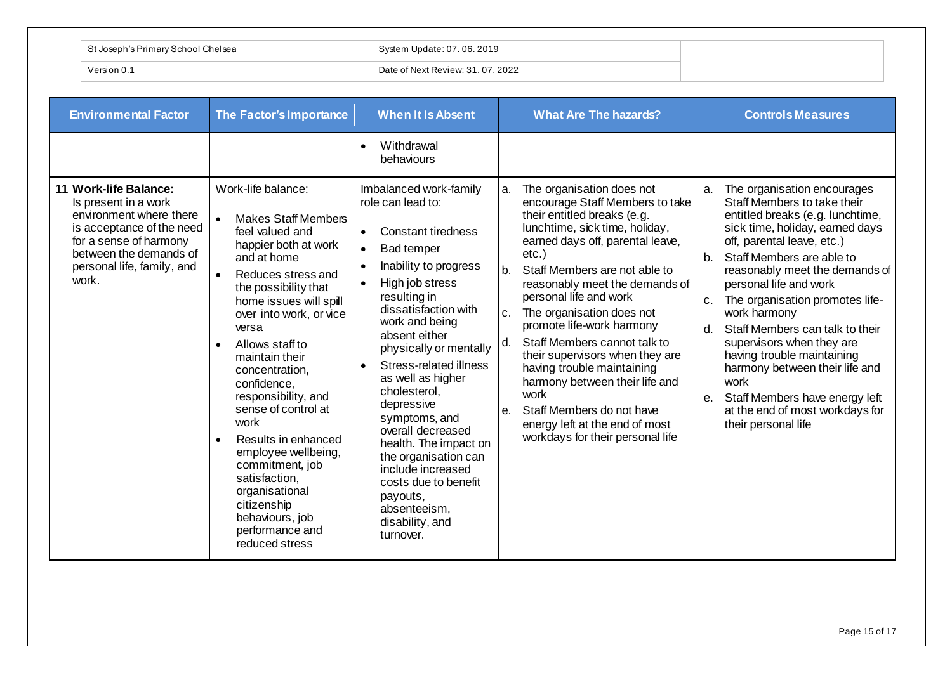| $\sqrt{2}$ chool (<br>; Primary | <b>06.2019</b><br>Indate. 07      |
|---------------------------------|-----------------------------------|
| Version 0.                      | Date of Next Review: 31, 07, 2022 |

| <b>Environmental Factor</b>                                                                                                                                                                      | The Factor's Importance                                                                                                                                                                                                                                                               | <b>When It Is Absent</b>                                                                                                                                                                                                                                                                                                                                 | <b>What Are The hazards?</b>                                                                                                                                                                                                                                                                                                                                                                                                                                                       | <b>Controls Measures</b>                                                                                                                                                                                                                                                                                                                                                                                                                                                      |
|--------------------------------------------------------------------------------------------------------------------------------------------------------------------------------------------------|---------------------------------------------------------------------------------------------------------------------------------------------------------------------------------------------------------------------------------------------------------------------------------------|----------------------------------------------------------------------------------------------------------------------------------------------------------------------------------------------------------------------------------------------------------------------------------------------------------------------------------------------------------|------------------------------------------------------------------------------------------------------------------------------------------------------------------------------------------------------------------------------------------------------------------------------------------------------------------------------------------------------------------------------------------------------------------------------------------------------------------------------------|-------------------------------------------------------------------------------------------------------------------------------------------------------------------------------------------------------------------------------------------------------------------------------------------------------------------------------------------------------------------------------------------------------------------------------------------------------------------------------|
| 11 Work-life Balance:<br>Is present in a work<br>environment where there<br>is acceptance of the need<br>for a sense of harmony<br>between the demands of<br>personal life, family, and<br>work. | Work-life balance:<br><b>Makes Staff Members</b><br>$\bullet$<br>feel valued and<br>happier both at work<br>and at home<br>Reduces stress and<br>the possibility that<br>home issues will spill<br>over into work, or vice<br>versa<br>Allows staff to<br>$\bullet$<br>maintain their | Withdrawal<br>$\bullet$<br>behaviours<br>Imbalanced work-family<br>role can lead to:<br><b>Constant tiredness</b><br>$\bullet$<br><b>Bad temper</b><br>$\bullet$<br>Inability to progress<br>High job stress<br>$\bullet$<br>resulting in<br>dissatisfaction with<br>work and being<br>absent either<br>physically or mentally<br>Stress-related illness | The organisation does not<br>a.<br>encourage Staff Members to take<br>their entitled breaks (e.g.<br>lunchtime, sick time, holiday,<br>earned days off, parental leave,<br>$etc.$ )<br>$h_{\cdot}$<br>Staff Members are not able to<br>reasonably meet the demands of<br>personal life and work<br>The organisation does not<br>C <sub>1</sub><br>promote life-work harmony<br>Staff Members cannot talk to<br>d.<br>their supervisors when they are<br>having trouble maintaining | The organisation encourages<br>a.<br>Staff Members to take their<br>entitled breaks (e.g. lunchtime,<br>sick time, holiday, earned days<br>off, parental leave, etc.)<br>Staff Members are able to<br>$b_{1}$<br>reasonably meet the demands of<br>personal life and work<br>The organisation promotes life-<br>$C_{1}$<br>work harmony<br>Staff Members can talk to their<br>d.<br>supervisors when they are<br>having trouble maintaining<br>harmony between their life and |
|                                                                                                                                                                                                  | concentration,<br>confidence,<br>responsibility, and<br>sense of control at<br>work<br>Results in enhanced<br>employee wellbeing,<br>commitment, job<br>satisfaction,<br>organisational<br>citizenship<br>behaviours, job<br>performance and<br>reduced stress                        | as well as higher<br>cholesterol,<br>depressive<br>symptoms, and<br>overall decreased<br>health. The impact on<br>the organisation can<br>include increased<br>costs due to benefit<br>payouts,<br>absenteeism.<br>disability, and<br>turnover.                                                                                                          | harmony between their life and<br>work<br>Staff Members do not have<br>$\theta$ .<br>energy left at the end of most<br>workdays for their personal life                                                                                                                                                                                                                                                                                                                            | work<br>Staff Members have energy left<br>е.<br>at the end of most workdays for<br>their personal life                                                                                                                                                                                                                                                                                                                                                                        |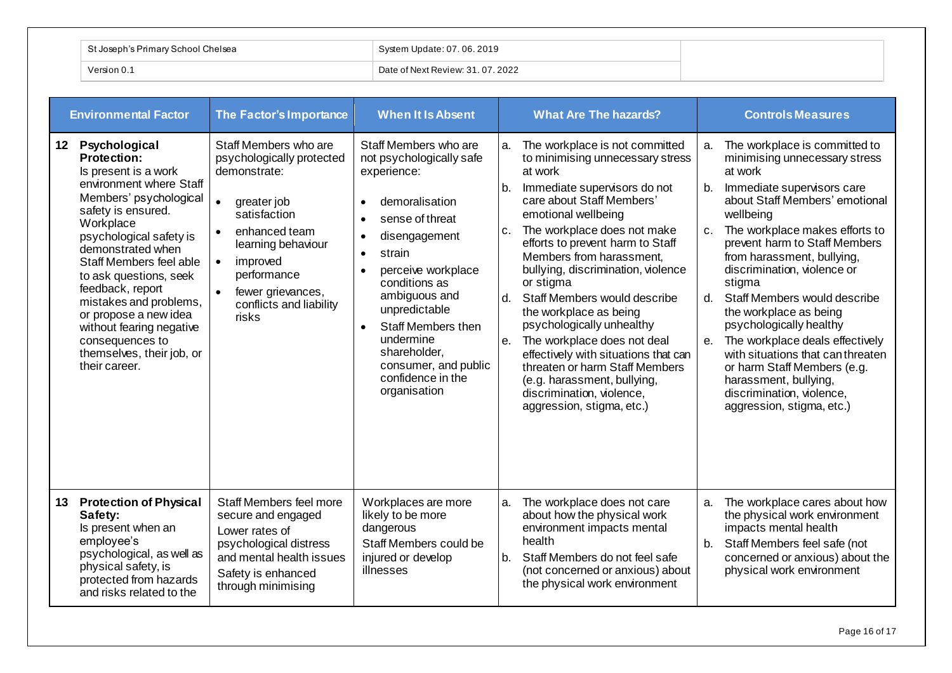|            | St Joseph's Primary School Chelsea | System Update: 07.06.2019         |
|------------|------------------------------------|-----------------------------------|
| Version 0. |                                    | Date of Next Review: 31, 07, 2022 |

| <b>Environmental Factor</b> |                                                                                                                                                                                                                                                                                                                                                                                                                       | The Factor's Importance                                                                                                                                                                                                                                             | <b>When It Is Absent</b>                                                                                                                                                                                                                                                                                                                                         |                                     | <b>What Are The hazards?</b>                                                                                                                                                                                                                                                                                                                                                                                                                                                                                                                                                                                 |                                     | <b>Controls Measures</b>                                                                                                                                                                                                                                                                                                                                                                                                                                                                                                                                                        |  |
|-----------------------------|-----------------------------------------------------------------------------------------------------------------------------------------------------------------------------------------------------------------------------------------------------------------------------------------------------------------------------------------------------------------------------------------------------------------------|---------------------------------------------------------------------------------------------------------------------------------------------------------------------------------------------------------------------------------------------------------------------|------------------------------------------------------------------------------------------------------------------------------------------------------------------------------------------------------------------------------------------------------------------------------------------------------------------------------------------------------------------|-------------------------------------|--------------------------------------------------------------------------------------------------------------------------------------------------------------------------------------------------------------------------------------------------------------------------------------------------------------------------------------------------------------------------------------------------------------------------------------------------------------------------------------------------------------------------------------------------------------------------------------------------------------|-------------------------------------|---------------------------------------------------------------------------------------------------------------------------------------------------------------------------------------------------------------------------------------------------------------------------------------------------------------------------------------------------------------------------------------------------------------------------------------------------------------------------------------------------------------------------------------------------------------------------------|--|
| 12                          | Psychological<br>Protection:<br>Is present is a work<br>environment where Staff<br>Members' psychological<br>safety is ensured.<br>Workplace<br>psychological safety is<br>demonstrated when<br>Staff Members feel able<br>to ask questions, seek<br>feedback, report<br>mistakes and problems,<br>or propose a new idea<br>without fearing negative<br>consequences to<br>themselves, their job, or<br>their career. | Staff Members who are<br>psychologically protected<br>demonstrate:<br>$\bullet$<br>greater job<br>satisfaction<br>enhanced team<br>learning behaviour<br>improved<br>$\bullet$<br>performance<br>fewer grievances,<br>$\bullet$<br>conflicts and liability<br>risks | Staff Members who are<br>not psychologically safe<br>experience:<br>demoralisation<br>$\bullet$<br>sense of threat<br>disengagement<br>$\bullet$<br>strain<br>perceive workplace<br>conditions as<br>ambiguous and<br>unpredictable<br>Staff Members then<br>$\bullet$<br>undermine<br>shareholder,<br>consumer, and public<br>confidence in the<br>organisation | a.<br>b.<br>c.<br>$d_{\cdot}$<br>e. | The workplace is not committed<br>to minimising unnecessary stress<br>at work<br>Immediate supervisors do not<br>care about Staff Members'<br>emotional wellbeing<br>The workplace does not make<br>efforts to prevent harm to Staff<br>Members from harassment.<br>bullying, discrimination, violence<br>or stigma<br>Staff Members would describe<br>the workplace as being<br>psychologically unhealthy<br>The workplace does not deal<br>effectively with situations that can<br>threaten or harm Staff Members<br>(e.g. harassment, bullying,<br>discrimination, violence,<br>aggression, stigma, etc.) | a.<br>b.<br>$c_{\cdot}$<br>d.<br>e. | The workplace is committed to<br>minimising unnecessary stress<br>at work<br>Immediate supervisors care<br>about Staff Members' emotional<br>wellbeing<br>The workplace makes efforts to<br>prevent harm to Staff Members<br>from harassment, bullying,<br>discrimination, violence or<br>stigma<br>Staff Members would describe<br>the workplace as being<br>psychologically healthy<br>The workplace deals effectively<br>with situations that can threaten<br>or harm Staff Members (e.g.<br>harassment, bullying,<br>discrimination, violence,<br>aggression, stigma, etc.) |  |
| 13 <sup>7</sup>             | <b>Protection of Physical</b><br>Safety:<br>Is present when an<br>employee's<br>psychological, as well as<br>physical safety, is<br>protected from hazards<br>and risks related to the                                                                                                                                                                                                                                | Staff Members feel more<br>secure and engaged<br>Lower rates of<br>psychological distress<br>and mental health issues<br>Safety is enhanced<br>through minimising                                                                                                   | Workplaces are more<br>likely to be more<br>dangerous<br>Staff Members could be<br>injured or develop<br>illnesses                                                                                                                                                                                                                                               | a.<br>b <sub>1</sub>                | The workplace does not care<br>about how the physical work<br>environment impacts mental<br>health<br>Staff Members do not feel safe<br>(not concerned or anxious) about<br>the physical work environment                                                                                                                                                                                                                                                                                                                                                                                                    | a.<br>b.                            | The workplace cares about how<br>the physical work environment<br>impacts mental health<br>Staff Members feel safe (not<br>concerned or anxious) about the<br>physical work environment                                                                                                                                                                                                                                                                                                                                                                                         |  |